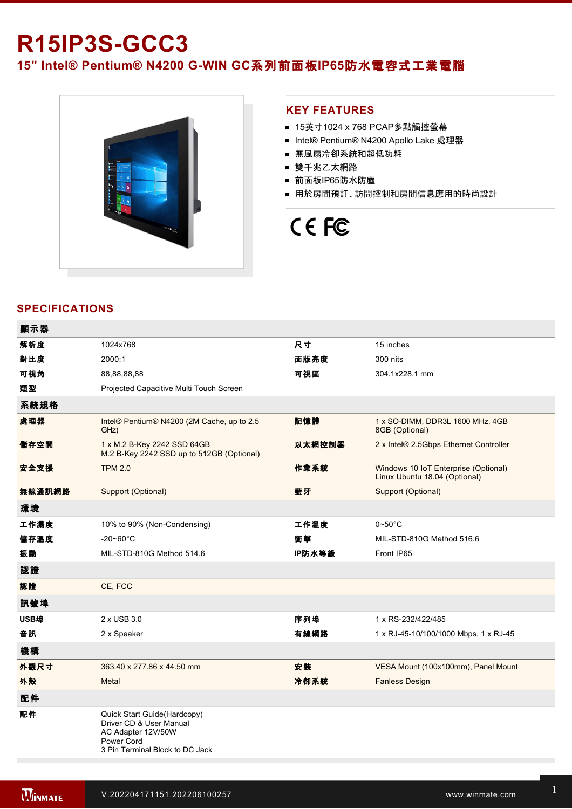# **R15IP3S-GCC3**

15" Intel® Pentium® N4200 G-WIN GC系列前面板IP65防水電容式工業電腦



#### **KEY FEATURES**

- 15英寸1024 x 768 PCAP多點觸控螢幕
- Intel® Pentium® N4200 Apollo Lake 處理器
- 無風扇冷卻系統和超低功耗
- 雙千兆乙太網路
- 前面板IP65防水防塵
- 用於房間預訂、訪問控制和房間信息應用的時尚設計

# CE FC

### **SPECIFICATIONS**

| 顯示器    |                                                                                                                               |        |                                                                       |
|--------|-------------------------------------------------------------------------------------------------------------------------------|--------|-----------------------------------------------------------------------|
| 解析度    | 1024x768                                                                                                                      | 尺寸     | 15 inches                                                             |
| 對比度    | 2000:1                                                                                                                        | 面版亮度   | 300 nits                                                              |
| 可視角    | 88,88,88,88                                                                                                                   | 可視區    | 304.1x228.1 mm                                                        |
| 類型     | Projected Capacitive Multi Touch Screen                                                                                       |        |                                                                       |
| 系統規格   |                                                                                                                               |        |                                                                       |
| 處理器    | Intel® Pentium® N4200 (2M Cache, up to 2.5<br>GHz)                                                                            | 記憶體    | 1 x SO-DIMM, DDR3L 1600 MHz, 4GB<br>8GB (Optional)                    |
| 儲存空間   | 1 x M.2 B-Key 2242 SSD 64GB<br>M.2 B-Key 2242 SSD up to 512GB (Optional)                                                      | 以太網控制器 | 2 x Intel® 2.5Gbps Ethernet Controller                                |
| 安全支援   | <b>TPM 2.0</b>                                                                                                                | 作業系統   | Windows 10 IoT Enterprise (Optional)<br>Linux Ubuntu 18.04 (Optional) |
| 無線通訊網路 | Support (Optional)                                                                                                            | 藍牙     | Support (Optional)                                                    |
| 環境     |                                                                                                                               |        |                                                                       |
| 工作濕度   | 10% to 90% (Non-Condensing)                                                                                                   | 工作溫度   | $0\neg 50^\circ C$                                                    |
| 儲存溫度   | $-20 - 60^{\circ}$ C                                                                                                          | 衝擊     | MIL-STD-810G Method 516.6                                             |
| 振動     | MIL-STD-810G Method 514.6                                                                                                     | IP防水等級 | Front IP65                                                            |
| 認證     |                                                                                                                               |        |                                                                       |
| 認證     | CE, FCC                                                                                                                       |        |                                                                       |
| 訊號埠    |                                                                                                                               |        |                                                                       |
| USB埠   | 2 x USB 3.0                                                                                                                   | 序列埠    | 1 x RS-232/422/485                                                    |
| 音訊     | 2 x Speaker                                                                                                                   | 有線網路   | 1 x RJ-45-10/100/1000 Mbps, 1 x RJ-45                                 |
| 機構     |                                                                                                                               |        |                                                                       |
| 外觀尺寸   | 363.40 x 277.86 x 44.50 mm                                                                                                    | 安装     | VESA Mount (100x100mm), Panel Mount                                   |
| 外殼     | Metal                                                                                                                         | 冷卻系統   | <b>Fanless Design</b>                                                 |
| 配件     |                                                                                                                               |        |                                                                       |
| 配件     | Quick Start Guide(Hardcopy)<br>Driver CD & User Manual<br>AC Adapter 12V/50W<br>Power Cord<br>3 Pin Terminal Block to DC Jack |        |                                                                       |

控制

電源